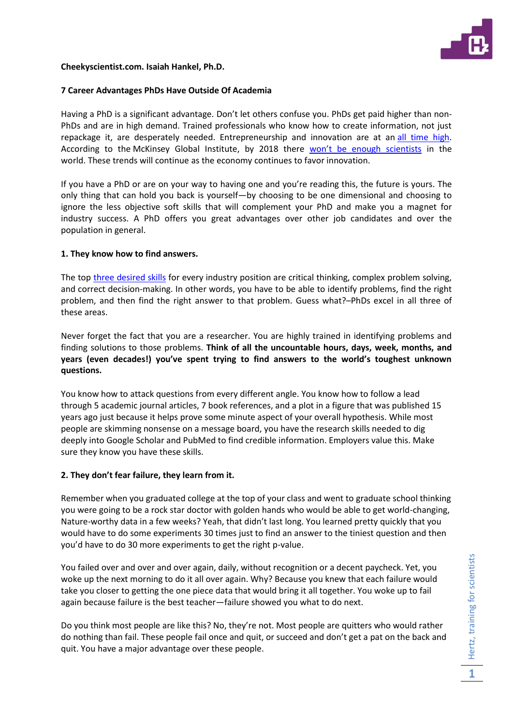

#### **Cheekyscientist.com. Isaiah Hankel, Ph.D.**

#### **7 Career Advantages PhDs Have Outside Of Academia**

Having a PhD is a significant advantage. Don't let others confuse you. PhDs get paid higher than non-PhDs and are in high demand. Trained professionals who know how to create information, not just repackage it, are desperately needed. Entrepreneurship and innovation are at an [all time high.](http://www.forbes.com/sites/elainepofeldt/2013/05/27/u-s-entrepreneurship-hits-record-high/) According to the McKinsey Global Institute, by 2018 there [won't be enough scientists](http://www.mckinsey.com/insights/business_technology/%20%20big_data_the_next_frontier_for_innovation) in the world. These trends will continue as the economy continues to favor innovation.

If you have a PhD or are on your way to having one and you're reading this, the future is yours. The only thing that can hold you back is yourself—by choosing to be one dimensional and choosing to ignore the less objective soft skills that will complement your PhD and make you a magnet for industry success. A PhD offers you great advantages over other job candidates and over the population in general.

#### **1. They know how to find answers.**

The top [three desired skills](http://www.forbes.com/sites/meghancasserly/2012/12/10/the-10-skills-that-will-get-you-a-job-in-2013/) for every industry position are critical thinking, complex problem solving, and correct decision-making. In other words, you have to be able to identify problems, find the right problem, and then find the right answer to that problem. Guess what?–PhDs excel in all three of these areas.

Never forget the fact that you are a researcher. You are highly trained in identifying problems and finding solutions to those problems. **Think of all the uncountable hours, days, week, months, and years (even decades!) you've spent trying to find answers to the world's toughest unknown questions.**

You know how to attack questions from every different angle. You know how to follow a lead through 5 academic journal articles, 7 book references, and a plot in a figure that was published 15 years ago just because it helps prove some minute aspect of your overall hypothesis. While most people are skimming nonsense on a message board, you have the research skills needed to dig deeply into Google Scholar and PubMed to find credible information. Employers value this. Make sure they know you have these skills.

#### **2. They don't fear failure, they learn from it.**

Remember when you graduated college at the top of your class and went to graduate school thinking you were going to be a rock star doctor with golden hands who would be able to get world-changing, Nature-worthy data in a few weeks? Yeah, that didn't last long. You learned pretty quickly that you would have to do some experiments 30 times just to find an answer to the tiniest question and then you'd have to do 30 more experiments to get the right p-value.

You failed over and over and over again, daily, without recognition or a decent paycheck. Yet, you woke up the next morning to do it all over again. Why? Because you knew that each failure would take you closer to getting the one piece data that would bring it all together. You woke up to fail again because failure is the best teacher—failure showed you what to do next.

Do you think most people are like this? No, they're not. Most people are quitters who would rather do nothing than fail. These people fail once and quit, or succeed and don't get a pat on the back and quit. You have a major advantage over these people.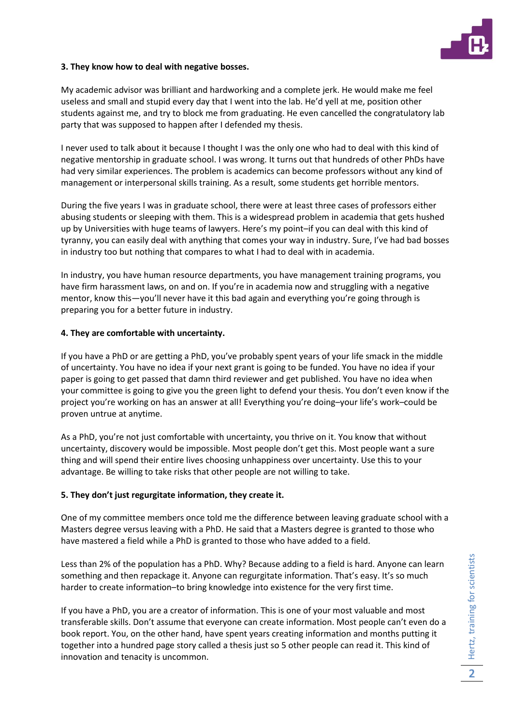

# **3. They know how to deal with negative bosses.**

My academic advisor was brilliant and hardworking and a complete jerk. He would make me feel useless and small and stupid every day that I went into the lab. He'd yell at me, position other students against me, and try to block me from graduating. He even cancelled the congratulatory lab party that was supposed to happen after I defended my thesis.

I never used to talk about it because I thought I was the only one who had to deal with this kind of negative mentorship in graduate school. I was wrong. It turns out that hundreds of other PhDs have had very similar experiences. The problem is academics can become professors without any kind of management or interpersonal skills training. As a result, some students get horrible mentors.

During the five years I was in graduate school, there were at least three cases of professors either abusing students or sleeping with them. This is a widespread problem in academia that gets hushed up by Universities with huge teams of lawyers. Here's my point–if you can deal with this kind of tyranny, you can easily deal with anything that comes your way in industry. Sure, I've had bad bosses in industry too but nothing that compares to what I had to deal with in academia.

In industry, you have human resource departments, you have management training programs, you have firm harassment laws, on and on. If you're in academia now and struggling with a negative mentor, know this—you'll never have it this bad again and everything you're going through is preparing you for a better future in industry.

# **4. They are comfortable with uncertainty.**

If you have a PhD or are getting a PhD, you've probably spent years of your life smack in the middle of uncertainty. You have no idea if your next grant is going to be funded. You have no idea if your paper is going to get passed that damn third reviewer and get published. You have no idea when your committee is going to give you the green light to defend your thesis. You don't even know if the project you're working on has an answer at all! Everything you're doing–your life's work–could be proven untrue at anytime.

As a PhD, you're not just comfortable with uncertainty, you thrive on it. You know that without uncertainty, discovery would be impossible. Most people don't get this. Most people want a sure thing and will spend their entire lives choosing unhappiness over uncertainty. Use this to your advantage. Be willing to take risks that other people are not willing to take.

# **5. They don't just regurgitate information, they create it.**

One of my committee members once told me the difference between leaving graduate school with a Masters degree versus leaving with a PhD. He said that a Masters degree is granted to those who have mastered a field while a PhD is granted to those who have added to a field.

Less than 2% of the population has a PhD. Why? Because adding to a field is hard. Anyone can learn something and then repackage it. Anyone can regurgitate information. That's easy. It's so much harder to create information–to bring knowledge into existence for the very first time.

If you have a PhD, you are a creator of information. This is one of your most valuable and most transferable skills. Don't assume that everyone can create information. Most people can't even do a book report. You, on the other hand, have spent years creating information and months putting it together into a hundred page story called a thesis just so 5 other people can read it. This kind of innovation and tenacity is uncommon.